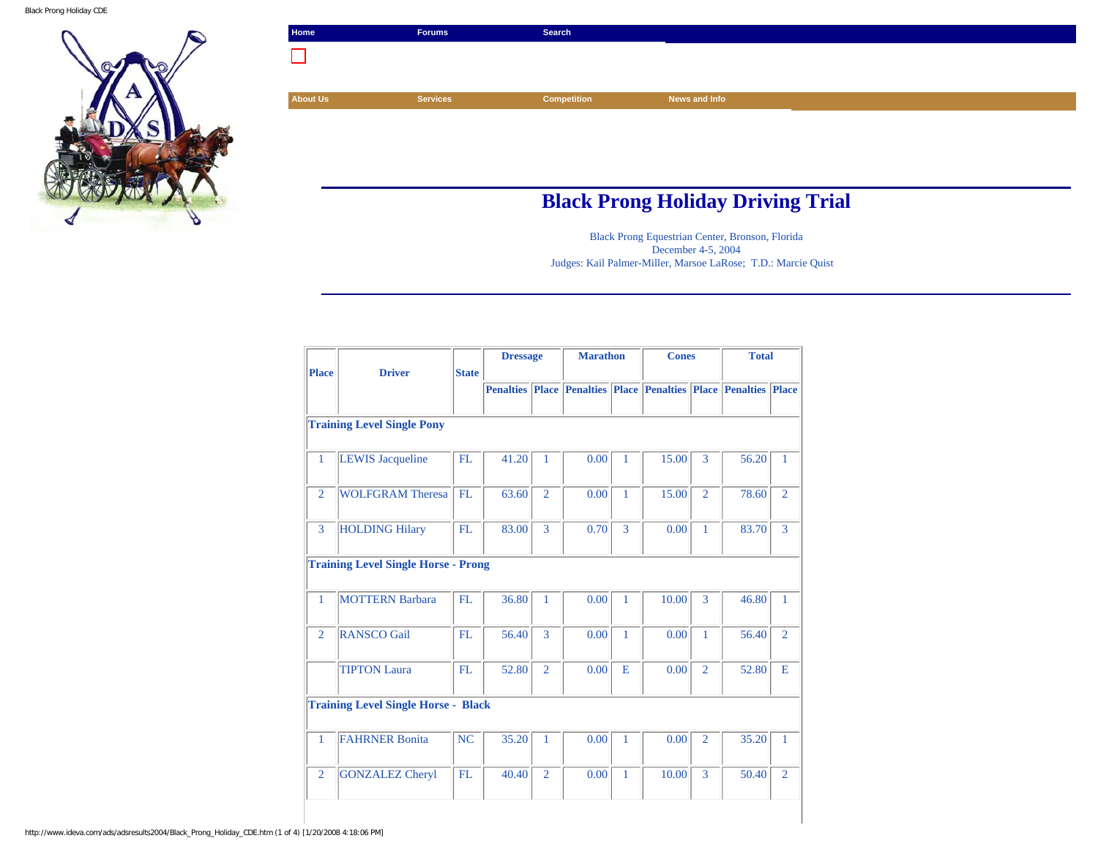Black Prong Holiday CDE



|                                    | Search             |               |  |
|------------------------------------|--------------------|---------------|--|
| n l                                |                    |               |  |
|                                    |                    |               |  |
| <b>About Us</b><br><b>Services</b> | <b>Competition</b> | News and Info |  |
|                                    |                    |               |  |
|                                    |                    |               |  |

## **Black Prong Holiday Driving Trial**

Black Prong Equestrian Center, Bronson, Florida December 4-5, 2004 Judges: Kail Palmer-Miller, Marsoe LaRose; T.D.: Marcie Quist

| <b>Place</b>   | <b>Driver</b>                              | <b>State</b> | <b>Dressage</b>  |                | <b>Marathon</b> |              | <b>Cones</b>                                                 |                | <b>Total</b> |                |
|----------------|--------------------------------------------|--------------|------------------|----------------|-----------------|--------------|--------------------------------------------------------------|----------------|--------------|----------------|
|                |                                            |              | <b>Penalties</b> |                |                 |              | <b>Place Penalties Place Penalties Place Penalties Place</b> |                |              |                |
|                | <b>Training Level Single Pony</b>          |              |                  |                |                 |              |                                                              |                |              |                |
| $\mathbf{1}$   | <b>LEWIS Jacqueline</b>                    | FL           | 41.20            | 1              | 0.00            | 1            | 15.00                                                        | 3              | 56.20        | $\mathbf{1}$   |
| $\overline{2}$ | <b>WOLFGRAM Theresa</b>                    | FL           | 63.60            | $\overline{2}$ | 0.00            | 1            | 15.00                                                        | $\overline{2}$ | 78.60        | $\overline{2}$ |
| 3              | <b>HOLDING Hilary</b>                      | FL           | 83.00            | 3              | 0.70            | 3            | 0.00                                                         | $\mathbf{1}$   | 83.70        | 3              |
|                | <b>Training Level Single Horse - Prong</b> |              |                  |                |                 |              |                                                              |                |              |                |
| 1              | <b>MOTTERN Barbara</b>                     | FL           | 36.80            | 1              | 0.00            | 1            | 10.00                                                        | 3              | 46.80        | $\mathbf{1}$   |
| $\overline{2}$ | <b>RANSCO Gail</b>                         | FL           | 56.40            | 3              | 0.00            | $\mathbf{1}$ | 0.00                                                         | 1              | 56.40        | $\overline{2}$ |
|                | <b>TIPTON Laura</b>                        | FL           | 52.80            | $\overline{2}$ | 0.00            | E            | 0.00                                                         | $\overline{2}$ | 52.80        | E              |
|                | <b>Training Level Single Horse - Black</b> |              |                  |                |                 |              |                                                              |                |              |                |
| $\mathbf{1}$   | <b>FAHRNER Bonita</b>                      | NC           | 35.20            | 1              | 0.00            | 1            | 0.00                                                         | $\overline{2}$ | 35.20        | $\mathbf{1}$   |
| $\overline{2}$ | <b>GONZALEZ Cheryl</b>                     | FL           | 40.40            | $\overline{2}$ | 0.00            | 1            | 10.00                                                        | 3              | 50.40        | $\overline{2}$ |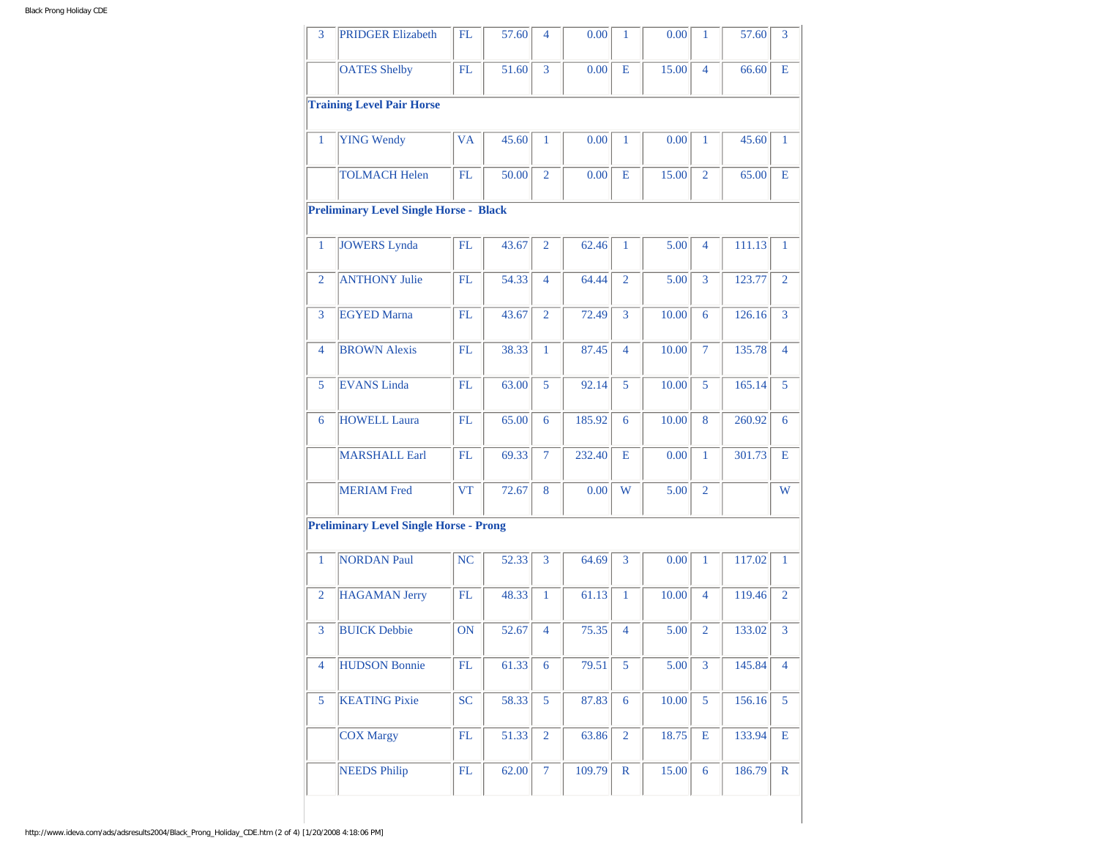| 3              | <b>PRIDGER Elizabeth</b>                      | FL        | 57.60 | $\overline{4}$ | 0.00   | 1              | 0.00  | 1              | 57.60  | 3              |
|----------------|-----------------------------------------------|-----------|-------|----------------|--------|----------------|-------|----------------|--------|----------------|
|                | <b>OATES Shelby</b>                           | FL        | 51.60 | 3              | 0.00   | E              | 15.00 | $\overline{4}$ | 66.60  | E              |
|                | <b>Training Level Pair Horse</b>              |           |       |                |        |                |       |                |        |                |
| $\mathbf{1}$   | <b>YING Wendy</b>                             | <b>VA</b> | 45.60 | $\mathbf{1}$   | 0.00   | $\mathbf{1}$   | 0.00  | $\mathbf{1}$   | 45.60  | $\mathbf{1}$   |
|                | <b>TOLMACH Helen</b>                          | FL        | 50.00 | $\overline{2}$ | 0.00   | E              | 15.00 | $\overline{2}$ | 65.00  | E              |
|                | <b>Preliminary Level Single Horse - Black</b> |           |       |                |        |                |       |                |        |                |
| $\mathbf{1}$   | <b>JOWERS Lynda</b>                           | FL        | 43.67 | $\overline{2}$ | 62.46  | $\mathbf{1}$   | 5.00  | $\overline{4}$ | 111.13 | 1              |
| 2              | <b>ANTHONY Julie</b>                          | FL        | 54.33 | $\overline{4}$ | 64.44  | $\overline{2}$ | 5.00  | 3              | 123.77 | $\overline{2}$ |
| 3              | <b>EGYED Marna</b>                            | FL        | 43.67 | $\overline{2}$ | 72.49  | 3              | 10.00 | 6              | 126.16 | $\overline{3}$ |
| 4              | <b>BROWN Alexis</b>                           | FL        | 38.33 | $\mathbf{1}$   | 87.45  | $\overline{4}$ | 10.00 | $\overline{7}$ | 135.78 | $\overline{4}$ |
| 5              | <b>EVANS Linda</b>                            | FL        | 63.00 | 5              | 92.14  | 5              | 10.00 | 5              | 165.14 | 5              |
| 6              | <b>HOWELL Laura</b>                           | FL        | 65.00 | 6              | 185.92 | 6              | 10.00 | 8              | 260.92 | 6              |
|                | <b>MARSHALL Earl</b>                          | FL        | 69.33 | $\overline{7}$ | 232.40 | Е              | 0.00  | $\mathbf{1}$   | 301.73 | Е              |
|                | <b>MERIAM</b> Fred                            | <b>VT</b> | 72.67 | 8              | 0.00   | W              | 5.00  | $\overline{2}$ |        | W              |
|                | <b>Preliminary Level Single Horse - Prong</b> |           |       |                |        |                |       |                |        |                |
| $\mathbf{1}$   | <b>NORDAN Paul</b>                            | <b>NC</b> | 52.33 | 3              | 64.69  | 3              | 0.00  | $\mathbf{1}$   | 117.02 | $\mathbf{1}$   |
| 2              | <b>HAGAMAN Jerry</b>                          | FL        | 48.33 | 1              | 61.13  | $\mathbf{1}$   | 10.00 | $\overline{4}$ | 119.46 | $\overline{2}$ |
| 3              | <b>BUICK Debbie</b>                           | ON        | 52.67 | $\overline{4}$ | 75.35  | $\overline{4}$ | 5.00  | $\overline{2}$ | 133.02 | 3              |
| $\overline{4}$ | <b>HUDSON Bonnie</b>                          | FL        | 61.33 | 6              | 79.51  | 5              | 5.00  | $\overline{3}$ | 145.84 | $\overline{4}$ |
| 5              | <b>KEATING Pixie</b>                          | <b>SC</b> | 58.33 | 5              | 87.83  | 6              | 10.00 | 5              | 156.16 | 5              |
|                | <b>COX Margy</b>                              | FL        | 51.33 | $\overline{2}$ | 63.86  | $\overline{2}$ | 18.75 | E              | 133.94 | Е              |
|                | <b>NEEDS Philip</b>                           | FL        | 62.00 | $\overline{7}$ | 109.79 | $\mathbb{R}$   | 15.00 | 6              | 186.79 | $\mathbb{R}$   |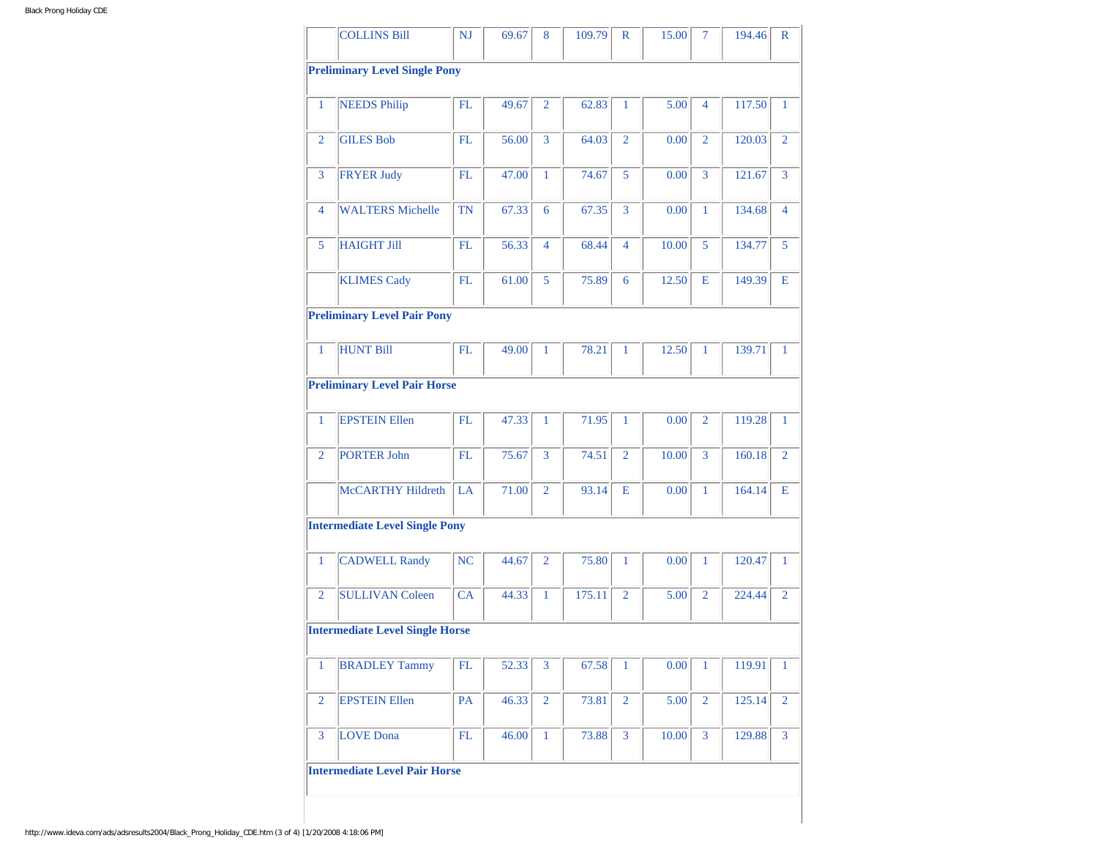|                | <b>COLLINS Bill</b>                    | <b>NJ</b>  | 69.67 | 8              | 109.79 | $\mathbb{R}$   | 15.00 | 7              | 194.46 | R              |
|----------------|----------------------------------------|------------|-------|----------------|--------|----------------|-------|----------------|--------|----------------|
|                | <b>Preliminary Level Single Pony</b>   |            |       |                |        |                |       |                |        |                |
| $\mathbf{1}$   | <b>NEEDS Philip</b>                    | FL         | 49.67 | $\overline{2}$ | 62.83  | $\mathbf{1}$   | 5.00  | $\overline{4}$ | 117.50 | $\mathbf{1}$   |
|                |                                        |            |       |                |        |                |       |                |        |                |
| $\overline{2}$ | <b>GILES Bob</b>                       | FL         | 56.00 | 3              | 64.03  | $\overline{2}$ | 0.00  | $\overline{2}$ | 120.03 | $\overline{2}$ |
| 3              | <b>FRYER Judy</b>                      | FL         | 47.00 | $\mathbf{1}$   | 74.67  | 5              | 0.00  | $\overline{3}$ | 121.67 | $\overline{3}$ |
| $\overline{4}$ | <b>WALTERS Michelle</b>                | <b>TN</b>  | 67.33 | 6              | 67.35  | 3              | 0.00  | $\mathbf{1}$   | 134.68 | $\overline{4}$ |
| 5              | <b>HAIGHT Jill</b>                     | <b>FL</b>  | 56.33 | $\overline{4}$ | 68.44  | $\overline{4}$ | 10.00 | 5              | 134.77 | 5              |
|                | <b>KLIMES Cady</b>                     | <b>FL</b>  | 61.00 | 5              | 75.89  | 6              | 12.50 | Е              | 149.39 | Е              |
|                | <b>Preliminary Level Pair Pony</b>     |            |       |                |        |                |       |                |        |                |
| $\mathbf{1}$   | <b>HUNT Bill</b>                       | FL         | 49.00 | $\mathbf{1}$   | 78.21  | $\mathbf{1}$   | 12.50 | $\mathbf{1}$   | 139.71 | $\mathbf{1}$   |
|                | <b>Preliminary Level Pair Horse</b>    |            |       |                |        |                |       |                |        |                |
| 1              | <b>EPSTEIN Ellen</b>                   | FL         | 47.33 | $\mathbf{1}$   | 71.95  | 1              | 0.00  | $\overline{2}$ | 119.28 | $\mathbf{1}$   |
| $\overline{2}$ | PORTER John                            | FL         | 75.67 | 3              | 74.51  | $\overline{2}$ | 10.00 | 3              | 160.18 | $\overline{2}$ |
|                | <b>McCARTHY Hildreth</b>               | LA         | 71.00 | $\overline{2}$ | 93.14  | E              | 0.00  | $\mathbf{1}$   | 164.14 | Е              |
|                | <b>Intermediate Level Single Pony</b>  |            |       |                |        |                |       |                |        |                |
| $\mathbf{1}$   | <b>CADWELL Randy</b>                   | NC         | 44.67 | $\overline{2}$ | 75.80  | $\mathbf{1}$   | 0.00  | $\mathbf{1}$   | 120.47 | $\mathbf{1}$   |
| $\overline{2}$ | <b>SULLIVAN Coleen</b>                 | CA         | 44.33 | $\mathbf{1}$   | 175.11 | $\overline{2}$ | 5.00  | $\overline{2}$ | 224.44 | $\overline{2}$ |
|                | <b>Intermediate Level Single Horse</b> |            |       |                |        |                |       |                |        |                |
| 1              | <b>BRADLEY Tammy</b>                   | FL         | 52.33 | 3              | 67.58  | 1              | 0.00  | $\mathbf{1}$   | 119.91 | $\mathbf{1}$   |
| $\overline{2}$ | <b>EPSTEIN Ellen</b>                   | PA         | 46.33 | $\overline{2}$ | 73.81  | $\overline{2}$ | 5.00  | $\overline{2}$ | 125.14 | $\overline{2}$ |
| 3              | <b>LOVE</b> Dona                       | ${\rm FL}$ | 46.00 | $\mathbf{1}$   | 73.88  | 3              | 10.00 | 3              | 129.88 | 3              |
|                | <b>Intermediate Level Pair Horse</b>   |            |       |                |        |                |       |                |        |                |
|                |                                        |            |       |                |        |                |       |                |        |                |